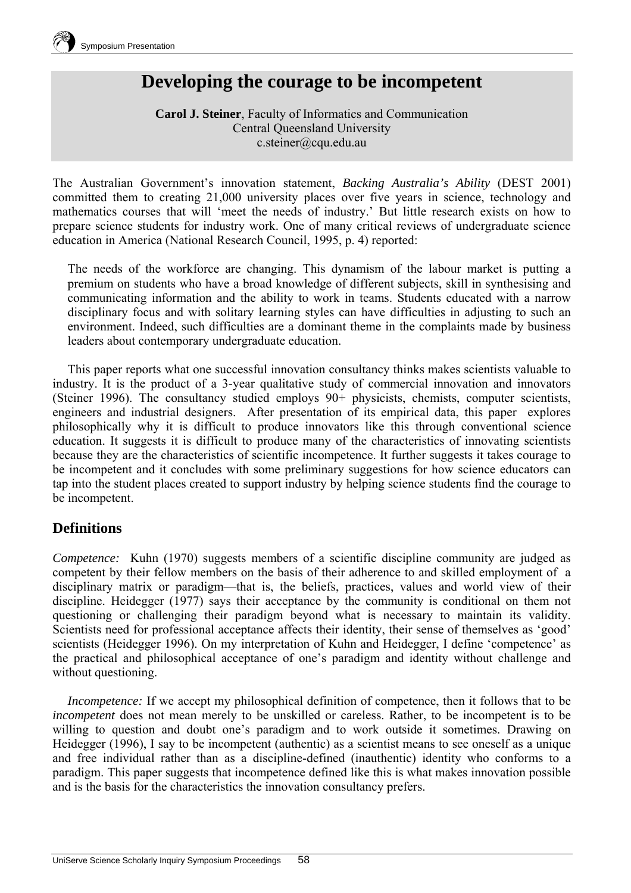

# **Developing the courage to be incompetent**

**Carol J. Steiner**, Faculty of Informatics and Communication Central Queensland University c.steiner@cqu.edu.au

The Australian Government's innovation statement, *Backing Australia's Ability* (DEST 2001) committed them to creating 21,000 university places over five years in science, technology and mathematics courses that will 'meet the needs of industry.' But little research exists on how to prepare science students for industry work. One of many critical reviews of undergraduate science education in America (National Research Council, 1995, p. 4) reported:

The needs of the workforce are changing. This dynamism of the labour market is putting a premium on students who have a broad knowledge of different subjects, skill in synthesising and communicating information and the ability to work in teams. Students educated with a narrow disciplinary focus and with solitary learning styles can have difficulties in adjusting to such an environment. Indeed, such difficulties are a dominant theme in the complaints made by business leaders about contemporary undergraduate education.

This paper reports what one successful innovation consultancy thinks makes scientists valuable to industry. It is the product of a 3-year qualitative study of commercial innovation and innovators (Steiner 1996). The consultancy studied employs 90+ physicists, chemists, computer scientists, engineers and industrial designers. After presentation of its empirical data, this paper explores philosophically why it is difficult to produce innovators like this through conventional science education. It suggests it is difficult to produce many of the characteristics of innovating scientists because they are the characteristics of scientific incompetence. It further suggests it takes courage to be incompetent and it concludes with some preliminary suggestions for how science educators can tap into the student places created to support industry by helping science students find the courage to be incompetent.

## **Definitions**

*Competence:* Kuhn (1970) suggests members of a scientific discipline community are judged as competent by their fellow members on the basis of their adherence to and skilled employment of a disciplinary matrix or paradigm—that is, the beliefs, practices, values and world view of their discipline. Heidegger (1977) says their acceptance by the community is conditional on them not questioning or challenging their paradigm beyond what is necessary to maintain its validity. Scientists need for professional acceptance affects their identity, their sense of themselves as 'good' scientists (Heidegger 1996). On my interpretation of Kuhn and Heidegger, I define 'competence' as the practical and philosophical acceptance of one's paradigm and identity without challenge and without questioning.

*Incompetence:* If we accept my philosophical definition of competence, then it follows that to be *incompetent* does not mean merely to be unskilled or careless. Rather, to be incompetent is to be willing to question and doubt one's paradigm and to work outside it sometimes. Drawing on Heidegger (1996), I say to be incompetent (authentic) as a scientist means to see oneself as a unique and free individual rather than as a discipline-defined (inauthentic) identity who conforms to a paradigm. This paper suggests that incompetence defined like this is what makes innovation possible and is the basis for the characteristics the innovation consultancy prefers.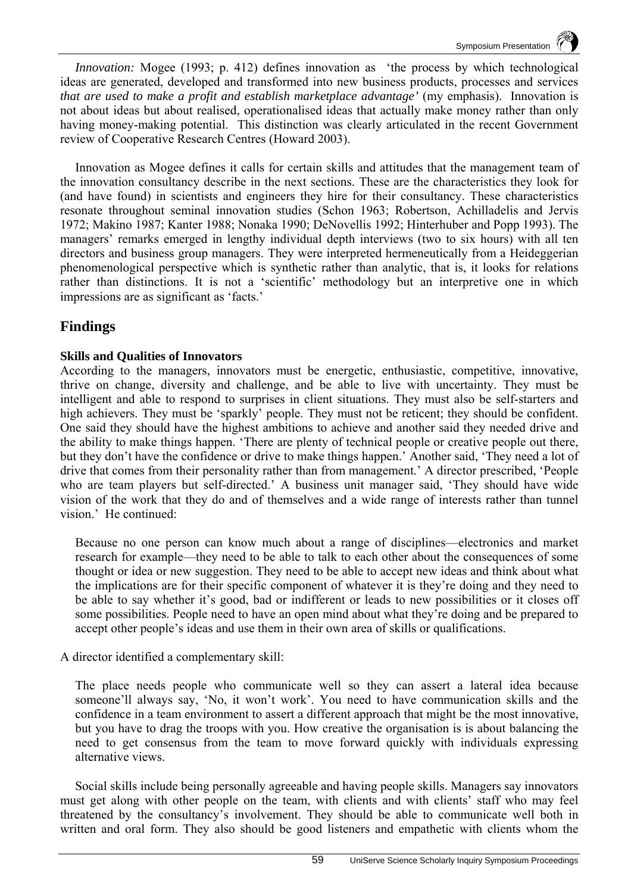Symposium Presentation

*Innovation:* Mogee (1993; p. 412) defines innovation as 'the process by which technological ideas are generated, developed and transformed into new business products, processes and services *that are used to make a profit and establish marketplace advantage'* (my emphasis). Innovation is not about ideas but about realised, operationalised ideas that actually make money rather than only having money-making potential. This distinction was clearly articulated in the recent Government review of Cooperative Research Centres (Howard 2003).

Innovation as Mogee defines it calls for certain skills and attitudes that the management team of the innovation consultancy describe in the next sections. These are the characteristics they look for (and have found) in scientists and engineers they hire for their consultancy. These characteristics resonate throughout seminal innovation studies (Schon 1963; Robertson, Achilladelis and Jervis 1972; Makino 1987; Kanter 1988; Nonaka 1990; DeNovellis 1992; Hinterhuber and Popp 1993). The managers' remarks emerged in lengthy individual depth interviews (two to six hours) with all ten directors and business group managers. They were interpreted hermeneutically from a Heideggerian phenomenological perspective which is synthetic rather than analytic, that is, it looks for relations rather than distinctions. It is not a 'scientific' methodology but an interpretive one in which impressions are as significant as 'facts.'

## **Findings**

### **Skills and Qualities of Innovators**

According to the managers, innovators must be energetic, enthusiastic, competitive, innovative, thrive on change, diversity and challenge, and be able to live with uncertainty. They must be intelligent and able to respond to surprises in client situations. They must also be self-starters and high achievers. They must be 'sparkly' people. They must not be reticent; they should be confident. One said they should have the highest ambitions to achieve and another said they needed drive and the ability to make things happen. 'There are plenty of technical people or creative people out there, but they don't have the confidence or drive to make things happen.' Another said, 'They need a lot of drive that comes from their personality rather than from management.' A director prescribed, 'People who are team players but self-directed.' A business unit manager said, 'They should have wide vision of the work that they do and of themselves and a wide range of interests rather than tunnel vision.'He continued:

Because no one person can know much about a range of disciplines—electronics and market research for example—they need to be able to talk to each other about the consequences of some thought or idea or new suggestion. They need to be able to accept new ideas and think about what the implications are for their specific component of whatever it is they're doing and they need to be able to say whether it's good, bad or indifferent or leads to new possibilities or it closes off some possibilities. People need to have an open mind about what they're doing and be prepared to accept other people's ideas and use them in their own area of skills or qualifications.

A director identified a complementary skill:

The place needs people who communicate well so they can assert a lateral idea because someone'll always say, 'No, it won't work'. You need to have communication skills and the confidence in a team environment to assert a different approach that might be the most innovative, but you have to drag the troops with you. How creative the organisation is is about balancing the need to get consensus from the team to move forward quickly with individuals expressing alternative views.

Social skills include being personally agreeable and having people skills. Managers say innovators must get along with other people on the team, with clients and with clients' staff who may feel threatened by the consultancy's involvement. They should be able to communicate well both in written and oral form. They also should be good listeners and empathetic with clients whom the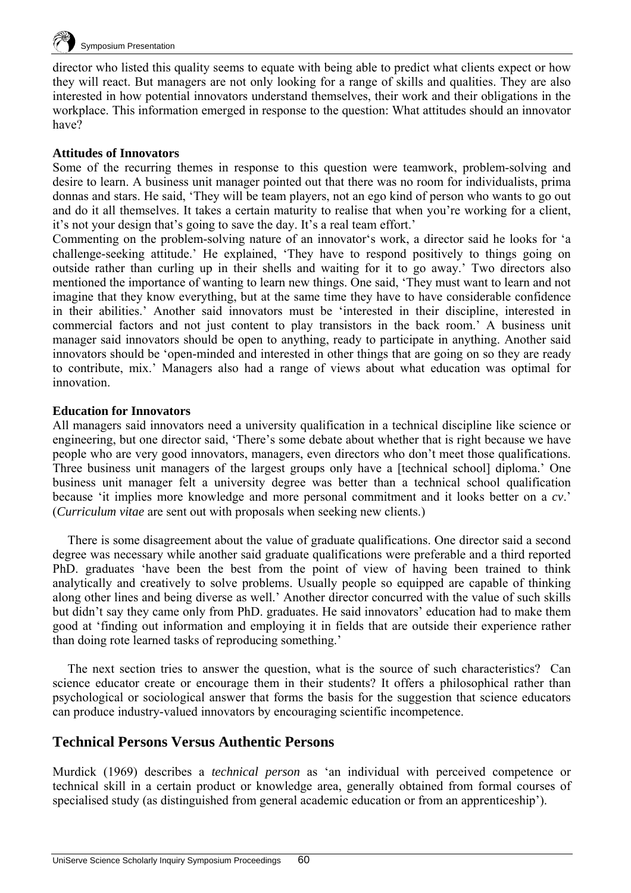

director who listed this quality seems to equate with being able to predict what clients expect or how they will react. But managers are not only looking for a range of skills and qualities. They are also interested in how potential innovators understand themselves, their work and their obligations in the workplace. This information emerged in response to the question: What attitudes should an innovator have?

#### **Attitudes of Innovators**

Some of the recurring themes in response to this question were teamwork, problem-solving and desire to learn. A business unit manager pointed out that there was no room for individualists, prima donnas and stars. He said, 'They will be team players, not an ego kind of person who wants to go out and do it all themselves. It takes a certain maturity to realise that when you're working for a client, it's not your design that's going to save the day. It's a real team effort.'

Commenting on the problem-solving nature of an innovator's work, a director said he looks for 'a challenge-seeking attitude.' He explained, 'They have to respond positively to things going on outside rather than curling up in their shells and waiting for it to go away.' Two directors also mentioned the importance of wanting to learn new things. One said, 'They must want to learn and not imagine that they know everything, but at the same time they have to have considerable confidence in their abilities.' Another said innovators must be 'interested in their discipline, interested in commercial factors and not just content to play transistors in the back room.' A business unit manager said innovators should be open to anything, ready to participate in anything. Another said innovators should be 'open-minded and interested in other things that are going on so they are ready to contribute, mix.' Managers also had a range of views about what education was optimal for innovation.

#### **Education for Innovators**

All managers said innovators need a university qualification in a technical discipline like science or engineering, but one director said, 'There's some debate about whether that is right because we have people who are very good innovators, managers, even directors who don't meet those qualifications. Three business unit managers of the largest groups only have a [technical school] diploma.' One business unit manager felt a university degree was better than a technical school qualification because 'it implies more knowledge and more personal commitment and it looks better on a *cv*.' (*Curriculum vitae* are sent out with proposals when seeking new clients.)

There is some disagreement about the value of graduate qualifications. One director said a second degree was necessary while another said graduate qualifications were preferable and a third reported PhD. graduates 'have been the best from the point of view of having been trained to think analytically and creatively to solve problems. Usually people so equipped are capable of thinking along other lines and being diverse as well.' Another director concurred with the value of such skills but didn't say they came only from PhD. graduates. He said innovators' education had to make them good at 'finding out information and employing it in fields that are outside their experience rather than doing rote learned tasks of reproducing something.'

The next section tries to answer the question, what is the source of such characteristics? Can science educator create or encourage them in their students? It offers a philosophical rather than psychological or sociological answer that forms the basis for the suggestion that science educators can produce industry-valued innovators by encouraging scientific incompetence.

## **Technical Persons Versus Authentic Persons**

Murdick (1969) describes a *technical person* as 'an individual with perceived competence or technical skill in a certain product or knowledge area, generally obtained from formal courses of specialised study (as distinguished from general academic education or from an apprenticeship').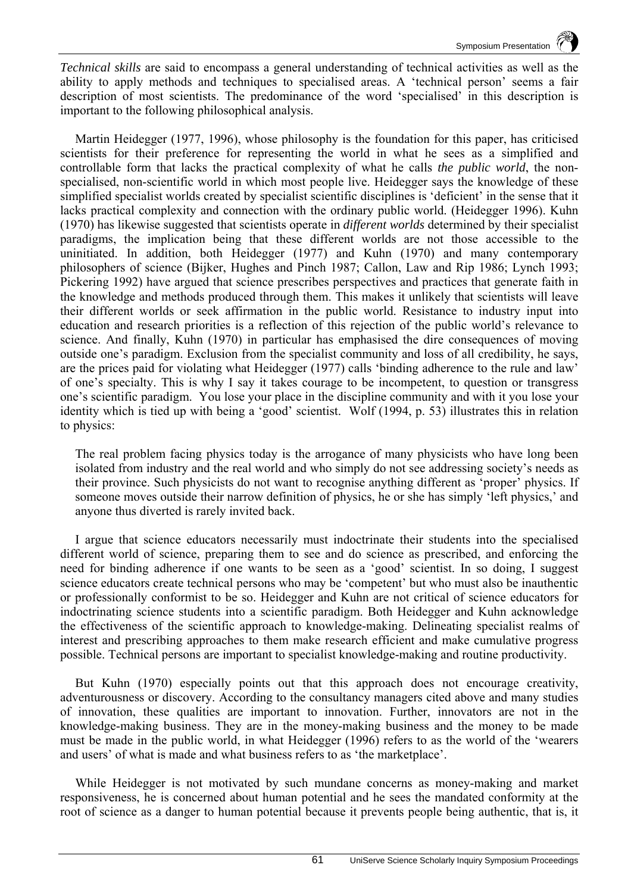*Technical skills* are said to encompass a general understanding of technical activities as well as the ability to apply methods and techniques to specialised areas. A 'technical person' seems a fair description of most scientists. The predominance of the word 'specialised' in this description is important to the following philosophical analysis.

Martin Heidegger (1977, 1996), whose philosophy is the foundation for this paper, has criticised scientists for their preference for representing the world in what he sees as a simplified and controllable form that lacks the practical complexity of what he calls *the public world*, the nonspecialised, non-scientific world in which most people live. Heidegger says the knowledge of these simplified specialist worlds created by specialist scientific disciplines is 'deficient' in the sense that it lacks practical complexity and connection with the ordinary public world. (Heidegger 1996). Kuhn (1970) has likewise suggested that scientists operate in *different worlds* determined by their specialist paradigms, the implication being that these different worlds are not those accessible to the uninitiated. In addition, both Heidegger (1977) and Kuhn (1970) and many contemporary philosophers of science (Bijker, Hughes and Pinch 1987; Callon, Law and Rip 1986; Lynch 1993; Pickering 1992) have argued that science prescribes perspectives and practices that generate faith in the knowledge and methods produced through them. This makes it unlikely that scientists will leave their different worlds or seek affirmation in the public world. Resistance to industry input into education and research priorities is a reflection of this rejection of the public world's relevance to science. And finally, Kuhn (1970) in particular has emphasised the dire consequences of moving outside one's paradigm. Exclusion from the specialist community and loss of all credibility, he says, are the prices paid for violating what Heidegger (1977) calls 'binding adherence to the rule and law' of one's specialty. This is why I say it takes courage to be incompetent, to question or transgress one's scientific paradigm. You lose your place in the discipline community and with it you lose your identity which is tied up with being a 'good' scientist. Wolf (1994, p. 53) illustrates this in relation to physics:

The real problem facing physics today is the arrogance of many physicists who have long been isolated from industry and the real world and who simply do not see addressing society's needs as their province. Such physicists do not want to recognise anything different as 'proper' physics. If someone moves outside their narrow definition of physics, he or she has simply 'left physics,' and anyone thus diverted is rarely invited back.

I argue that science educators necessarily must indoctrinate their students into the specialised different world of science, preparing them to see and do science as prescribed, and enforcing the need for binding adherence if one wants to be seen as a 'good' scientist. In so doing, I suggest science educators create technical persons who may be 'competent' but who must also be inauthentic or professionally conformist to be so. Heidegger and Kuhn are not critical of science educators for indoctrinating science students into a scientific paradigm. Both Heidegger and Kuhn acknowledge the effectiveness of the scientific approach to knowledge-making. Delineating specialist realms of interest and prescribing approaches to them make research efficient and make cumulative progress possible. Technical persons are important to specialist knowledge-making and routine productivity.

But Kuhn (1970) especially points out that this approach does not encourage creativity, adventurousness or discovery. According to the consultancy managers cited above and many studies of innovation, these qualities are important to innovation. Further, innovators are not in the knowledge-making business. They are in the money-making business and the money to be made must be made in the public world, in what Heidegger (1996) refers to as the world of the 'wearers and users' of what is made and what business refers to as 'the marketplace'.

While Heidegger is not motivated by such mundane concerns as money-making and market responsiveness, he is concerned about human potential and he sees the mandated conformity at the root of science as a danger to human potential because it prevents people being authentic, that is, it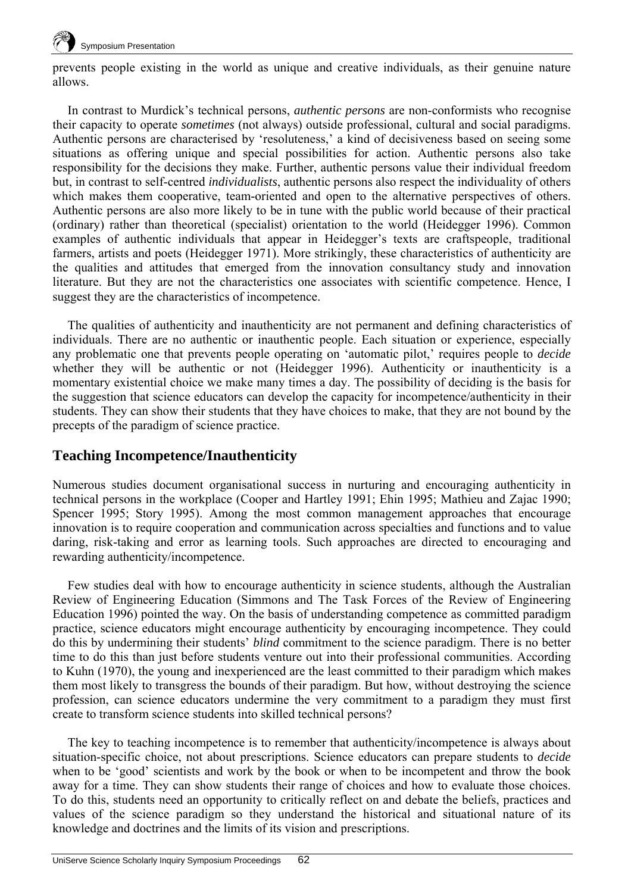

prevents people existing in the world as unique and creative individuals, as their genuine nature allows.

In contrast to Murdick's technical persons, *authentic persons* are non-conformists who recognise their capacity to operate *sometimes* (not always) outside professional, cultural and social paradigms. Authentic persons are characterised by 'resoluteness,' a kind of decisiveness based on seeing some situations as offering unique and special possibilities for action. Authentic persons also take responsibility for the decisions they make. Further, authentic persons value their individual freedom but, in contrast to self-centred *individualists*, authentic persons also respect the individuality of others which makes them cooperative, team-oriented and open to the alternative perspectives of others. Authentic persons are also more likely to be in tune with the public world because of their practical (ordinary) rather than theoretical (specialist) orientation to the world (Heidegger 1996). Common examples of authentic individuals that appear in Heidegger's texts are craftspeople, traditional farmers, artists and poets (Heidegger 1971). More strikingly, these characteristics of authenticity are the qualities and attitudes that emerged from the innovation consultancy study and innovation literature. But they are not the characteristics one associates with scientific competence. Hence, I suggest they are the characteristics of incompetence.

The qualities of authenticity and inauthenticity are not permanent and defining characteristics of individuals. There are no authentic or inauthentic people. Each situation or experience, especially any problematic one that prevents people operating on 'automatic pilot,' requires people to *decide* whether they will be authentic or not (Heidegger 1996). Authenticity or inauthenticity is a momentary existential choice we make many times a day. The possibility of deciding is the basis for the suggestion that science educators can develop the capacity for incompetence/authenticity in their students. They can show their students that they have choices to make, that they are not bound by the precepts of the paradigm of science practice.

## **Teaching Incompetence/Inauthenticity**

Numerous studies document organisational success in nurturing and encouraging authenticity in technical persons in the workplace (Cooper and Hartley 1991; Ehin 1995; Mathieu and Zajac 1990; Spencer 1995; Story 1995). Among the most common management approaches that encourage innovation is to require cooperation and communication across specialties and functions and to value daring, risk-taking and error as learning tools. Such approaches are directed to encouraging and rewarding authenticity/incompetence.

Few studies deal with how to encourage authenticity in science students, although the Australian Review of Engineering Education (Simmons and The Task Forces of the Review of Engineering Education 1996) pointed the way. On the basis of understanding competence as committed paradigm practice, science educators might encourage authenticity by encouraging incompetence. They could do this by undermining their students' *blind* commitment to the science paradigm. There is no better time to do this than just before students venture out into their professional communities. According to Kuhn (1970), the young and inexperienced are the least committed to their paradigm which makes them most likely to transgress the bounds of their paradigm. But how, without destroying the science profession, can science educators undermine the very commitment to a paradigm they must first create to transform science students into skilled technical persons?

The key to teaching incompetence is to remember that authenticity/incompetence is always about situation-specific choice, not about prescriptions. Science educators can prepare students to *decide* when to be 'good' scientists and work by the book or when to be incompetent and throw the book away for a time. They can show students their range of choices and how to evaluate those choices. To do this, students need an opportunity to critically reflect on and debate the beliefs, practices and values of the science paradigm so they understand the historical and situational nature of its knowledge and doctrines and the limits of its vision and prescriptions.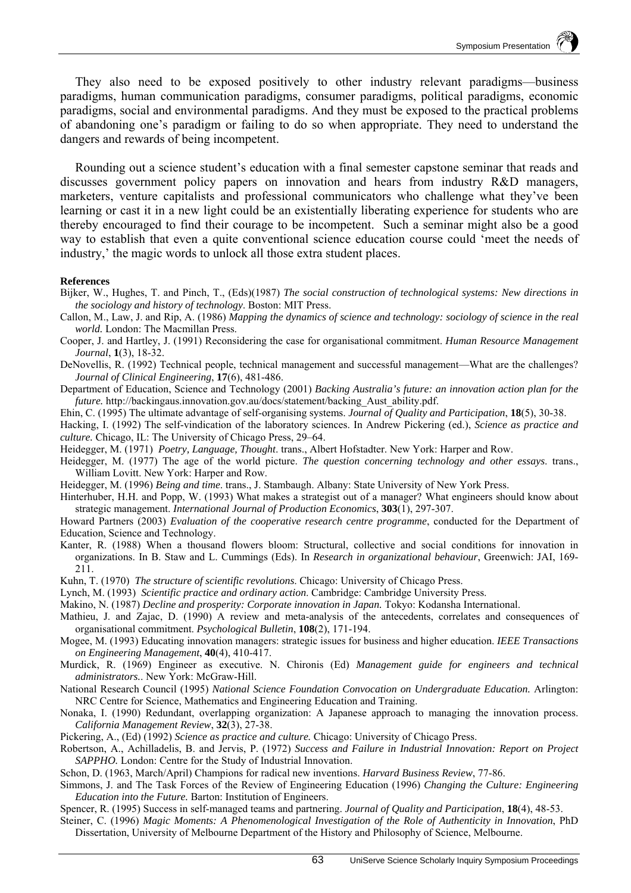They also need to be exposed positively to other industry relevant paradigms—business paradigms, human communication paradigms, consumer paradigms, political paradigms, economic paradigms, social and environmental paradigms. And they must be exposed to the practical problems of abandoning one's paradigm or failing to do so when appropriate. They need to understand the dangers and rewards of being incompetent.

Rounding out a science student's education with a final semester capstone seminar that reads and discusses government policy papers on innovation and hears from industry R&D managers, marketers, venture capitalists and professional communicators who challenge what they've been learning or cast it in a new light could be an existentially liberating experience for students who are thereby encouraged to find their courage to be incompetent. Such a seminar might also be a good way to establish that even a quite conventional science education course could 'meet the needs of industry,' the magic words to unlock all those extra student places.

#### **References**

- Bijker, W., Hughes, T. and Pinch, T., (Eds)(1987) *The social construction of technological systems: New directions in the sociology and history of technology*. Boston: MIT Press.
- Callon, M., Law, J. and Rip, A. (1986) *Mapping the dynamics of science and technology: sociology of science in the real world.* London: The Macmillan Press.
- Cooper, J. and Hartley, J. (1991) Reconsidering the case for organisational commitment. *Human Resource Management Journal*, **1**(3), 18-32.
- DeNovellis, R. (1992) Technical people, technical management and successful management—What are the challenges? *Journal of Clinical Engineering*, **17**(6), 481-486.
- Department of Education, Science and Technology (2001) *Backing Australia's future: an innovation action plan for the future.* http://backingaus.innovation.gov.au/docs/statement/backing\_Aust\_ability.pdf.
- Ehin, C. (1995) The ultimate advantage of self-organising systems. *Journal of Quality and Participation*, **18**(5), 30-38.
- Hacking, I. (1992) The self-vindication of the laboratory sciences. In Andrew Pickering (ed.), *Science as practice and culture.* Chicago, IL: The University of Chicago Press, 29–64.
- Heidegger, M. (1971) *Poetry, Language, Thought*. trans., Albert Hofstadter. New York: Harper and Row.
- Heidegger, M. (1977) The age of the world picture. *The question concerning technology and other essays*. trans., William Lovitt. New York: Harper and Row.
- Heidegger, M. (1996) *Being and time*. trans., J. Stambaugh. Albany: State University of New York Press.
- Hinterhuber, H.H. and Popp, W. (1993) What makes a strategist out of a manager? What engineers should know about strategic management. *International Journal of Production Economics*, **303**(1), 297-307.
- Howard Partners (2003) *Evaluation of the cooperative research centre programme*, conducted for the Department of Education, Science and Technology.
- Kanter, R. (1988) When a thousand flowers bloom: Structural, collective and social conditions for innovation in organizations. In B. Staw and L. Cummings (Eds). In *Research in organizational behaviour*, Greenwich: JAI, 169- 211.
- Kuhn, T. (1970) *The structure of scientific revolutions*. Chicago: University of Chicago Press.
- Lynch, M. (1993) *Scientific practice and ordinary action*. Cambridge: Cambridge University Press.
- Makino, N. (1987) *Decline and prosperity: Corporate innovation in Japan.* Tokyo: Kodansha International.
- Mathieu, J. and Zajac, D. (1990) A review and meta-analysis of the antecedents, correlates and consequences of organisational commitment. *Psychological Bulletin*, **108**(2), 171-194.
- Mogee, M. (1993) Educating innovation managers: strategic issues for business and higher education. *IEEE Transactions on Engineering Management*, **40**(4), 410-417.
- Murdick, R. (1969) Engineer as executive. N. Chironis (Ed) *Management guide for engineers and technical administrators.*. New York: McGraw-Hill.
- National Research Council (1995) *National Science Foundation Convocation on Undergraduate Education.* Arlington: NRC Centre for Science, Mathematics and Engineering Education and Training.
- Nonaka, I. (1990) Redundant, overlapping organization: A Japanese approach to managing the innovation process. *California Management Review*, **32**(3), 27-38.
- Pickering, A., (Ed) (1992) *Science as practice and culture.* Chicago: University of Chicago Press.
- Robertson, A., Achilladelis, B. and Jervis, P. (1972) *Success and Failure in Industrial Innovation: Report on Project SAPPHO.* London: Centre for the Study of Industrial Innovation.
- Schon, D. (1963, March/April) Champions for radical new inventions. *Harvard Business Review*, 77-86.
- Simmons, J. and The Task Forces of the Review of Engineering Education (1996) *Changing the Culture: Engineering Education into the Future.* Barton: Institution of Engineers.

Spencer, R. (1995) Success in self-managed teams and partnering. *Journal of Quality and Participation*, **18**(4), 48-53.

Steiner, C. (1996) *Magic Moments: A Phenomenological Investigation of the Role of Authenticity in Innovation*, PhD Dissertation, University of Melbourne Department of the History and Philosophy of Science, Melbourne.